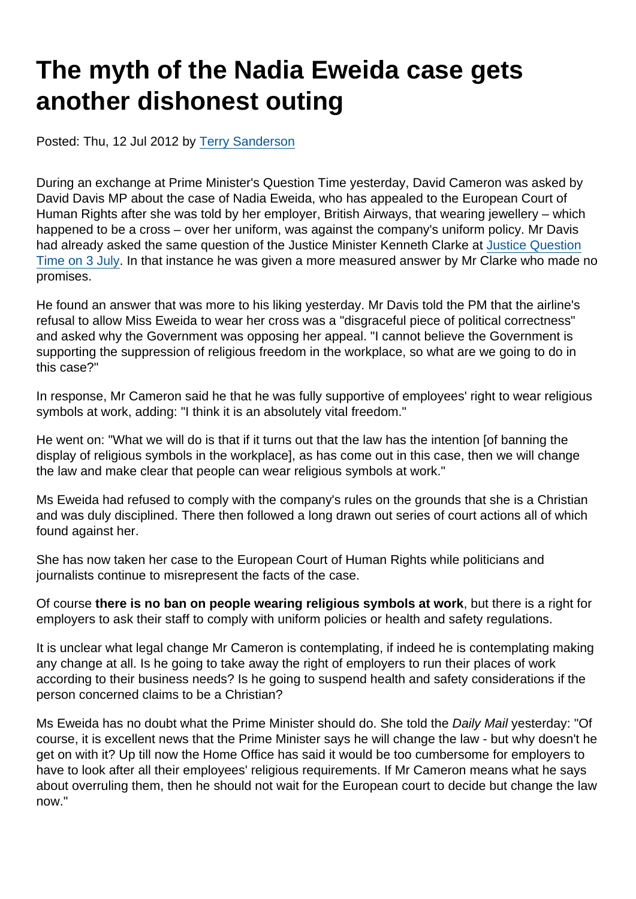# The myth of the Nadia Eweida case gets another dishonest outing

Posted: Thu, 12 Jul 2012 by [Terry Sanderson](https://www.secularism.org.uk/opinion/authors/850)

During an exchange at Prime Minister's Question Time yesterday, David Cameron was asked by David Davis MP about the case of Nadia Eweida, who has appealed to the European Court of Human Rights after she was told by her employer, British Airways, that wearing jewellery – which happened to be a cross – over her uniform, was against the company's uniform policy. Mr Davis had already asked the same question of the Justice Minister Kenneth Clarke at [Justice Question](http://www.youtube.com/watch?v=mN23szlmv4Q) [Time on 3 July](http://www.youtube.com/watch?v=mN23szlmv4Q). In that instance he was given a more measured answer by Mr Clarke who made no promises.

He found an answer that was more to his liking yesterday. Mr Davis told the PM that the airline's refusal to allow Miss Eweida to wear her cross was a "disgraceful piece of political correctness" and asked why the Government was opposing her appeal. "I cannot believe the Government is supporting the suppression of religious freedom in the workplace, so what are we going to do in this case?"

In response, Mr Cameron said he that he was fully supportive of employees' right to wear religious symbols at work, adding: "I think it is an absolutely vital freedom."

He went on: "What we will do is that if it turns out that the law has the intention [of banning the display of religious symbols in the workplace], as has come out in this case, then we will change the law and make clear that people can wear religious symbols at work."

Ms Eweida had refused to comply with the company's rules on the grounds that she is a Christian and was duly disciplined. There then followed a long drawn out series of court actions all of which found against her.

She has now taken her case to the European Court of Human Rights while politicians and journalists continue to misrepresent the facts of the case.

Of course there is no ban on people wearing religious symbols at work , but there is a right for employers to ask their staff to comply with uniform policies or health and safety regulations.

It is unclear what legal change Mr Cameron is contemplating, if indeed he is contemplating making any change at all. Is he going to take away the right of employers to run their places of work according to their business needs? Is he going to suspend health and safety considerations if the person concerned claims to be a Christian?

Ms Eweida has no doubt what the Prime Minister should do. She told the Daily Mail yesterday: "Of course, it is excellent news that the Prime Minister says he will change the law - but why doesn't he get on with it? Up till now the Home Office has said it would be too cumbersome for employers to have to look after all their employees' religious requirements. If Mr Cameron means what he says about overruling them, then he should not wait for the European court to decide but change the law now."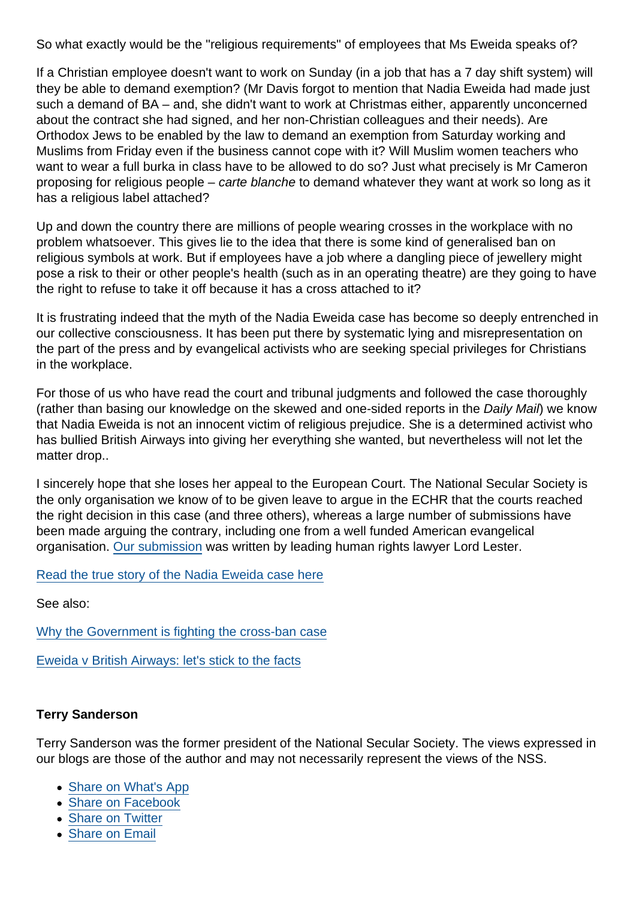So what exactly would be the "religious requirements" of employees that Ms Eweida speaks of?

If a Christian employee doesn't want to work on Sunday (in a job that has a 7 day shift system) will they be able to demand exemption? (Mr Davis forgot to mention that Nadia Eweida had made just such a demand of BA – and, she didn't want to work at Christmas either, apparently unconcerned about the contract she had signed, and her non-Christian colleagues and their needs). Are Orthodox Jews to be enabled by the law to demand an exemption from Saturday working and Muslims from Friday even if the business cannot cope with it? Will Muslim women teachers who want to wear a full burka in class have to be allowed to do so? Just what precisely is Mr Cameron proposing for religious people – carte blanche to demand whatever they want at work so long as it has a religious label attached?

Up and down the country there are millions of people wearing crosses in the workplace with no problem whatsoever. This gives lie to the idea that there is some kind of generalised ban on religious symbols at work. But if employees have a job where a dangling piece of jewellery might pose a risk to their or other people's health (such as in an operating theatre) are they going to have the right to refuse to take it off because it has a cross attached to it?

It is frustrating indeed that the myth of the Nadia Eweida case has become so deeply entrenched in our collective consciousness. It has been put there by systematic lying and misrepresentation on the part of the press and by evangelical activists who are seeking special privileges for Christians in the workplace.

For those of us who have read the court and tribunal judgments and followed the case thoroughly (rather than basing our knowledge on the skewed and one-sided reports in the Daily Mail) we know that Nadia Eweida is not an innocent victim of religious prejudice. She is a determined activist who has bullied British Airways into giving her everything she wanted, but nevertheless will not let the matter drop..

I sincerely hope that she loses her appeal to the European Court. The National Secular Society is the only organisation we know of to be given leave to argue in the ECHR that the courts reached the right decision in this case (and three others), whereas a large number of submissions have been made arguing the contrary, including one from a well funded American evangelical organisation. [Our submission](https://www.secularism.org.uk/uploads/nss-intervention-to-european-court-of-human-rights.pdf) was written by leading human rights lawyer Lord Lester.

#### [Read the true story of the Nadia Eweida case here](http://www.guardian.co.uk/commentisfree/2008/jan/17/acrosstobear?INTCMP=SRCH)

See also:

[Why the Government is fighting the cross-ban case](http://flipchartfairytales.wordpress.com/2012/07/05/why-the-government-is-fighting-the-cross-ban-case/)

[Eweida v British Airways: let's stick to the facts](http://darrennewman.wordpress.com/2012/07/11/eweida-v-british-airways-lets-stick-to-the-facts/)

Terry Sanderson

Terry Sanderson was the former president of the National Secular Society. The views expressed in our blogs are those of the author and may not necessarily represent the views of the NSS.

- [Share on What's App](whatsapp://send?text=http://www.secularism.org.uk/opinion/2012/07/the-myth-of-the-nadia-eweida-case-gets-another-dishonest-outing?format=pdf)
- [Share on Facebook](https://www.facebook.com/sharer/sharer.php?u=http://www.secularism.org.uk/opinion/2012/07/the-myth-of-the-nadia-eweida-case-gets-another-dishonest-outing?format=pdf&t=The+myth+of+the+Nadia+Eweida+case+gets+another+dishonest+outing)
- [Share on Twitter](https://twitter.com/intent/tweet?url=http://www.secularism.org.uk/opinion/2012/07/the-myth-of-the-nadia-eweida-case-gets-another-dishonest-outing?format=pdf&text=The+myth+of+the+Nadia+Eweida+case+gets+another+dishonest+outing&via=NatSecSoc)
- [Share on Email](https://www.secularism.org.uk/share.html?url=http://www.secularism.org.uk/opinion/2012/07/the-myth-of-the-nadia-eweida-case-gets-another-dishonest-outing?format=pdf&title=The+myth+of+the+Nadia+Eweida+case+gets+another+dishonest+outing)